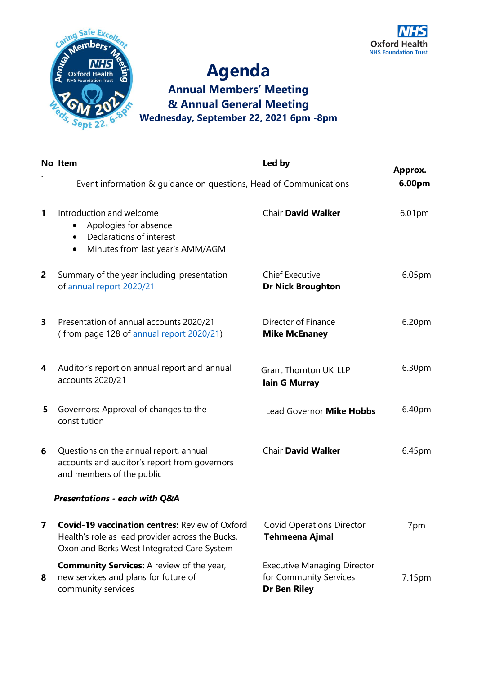



## **Agenda Annual Members' Meeting & Annual General Meeting Wednesday, September 22, 2021 6pm -8pm**

|                | No Item                                                                                                                                                 | Led by                                                                              | Approx. |
|----------------|---------------------------------------------------------------------------------------------------------------------------------------------------------|-------------------------------------------------------------------------------------|---------|
|                | Event information & guidance on questions, Head of Communications                                                                                       |                                                                                     |         |
| 1              | Introduction and welcome<br>Apologies for absence<br>Declarations of interest<br>$\bullet$<br>Minutes from last year's AMM/AGM<br>$\bullet$             | <b>Chair David Walker</b>                                                           | 6.01pm  |
| $\overline{2}$ | Summary of the year including presentation<br>of annual report 2020/21                                                                                  | <b>Chief Executive</b><br><b>Dr Nick Broughton</b>                                  | 6.05pm  |
| 3              | Presentation of annual accounts 2020/21<br>(from page 128 of annual report 2020/21)                                                                     | Director of Finance<br><b>Mike McEnaney</b>                                         | 6.20pm  |
| 4              | Auditor's report on annual report and annual<br>accounts 2020/21                                                                                        | <b>Grant Thornton UK LLP</b><br><b>lain G Murray</b>                                | 6.30pm  |
| 5              | Governors: Approval of changes to the<br>constitution                                                                                                   | Lead Governor Mike Hobbs                                                            | 6.40pm  |
| 6              | Questions on the annual report, annual<br>accounts and auditor's report from governors<br>and members of the public                                     | <b>Chair David Walker</b>                                                           | 6.45pm  |
|                | Presentations - each with Q&A                                                                                                                           |                                                                                     |         |
| $\mathbf{7}$   | <b>Covid-19 vaccination centres: Review of Oxford</b><br>Health's role as lead provider across the Bucks,<br>Oxon and Berks West Integrated Care System | <b>Covid Operations Director</b><br><b>Tehmeena Ajmal</b>                           | 7pm     |
| 8              | <b>Community Services:</b> A review of the year,<br>new services and plans for future of<br>community services                                          | <b>Executive Managing Director</b><br>for Community Services<br><b>Dr Ben Riley</b> | 7.15pm  |